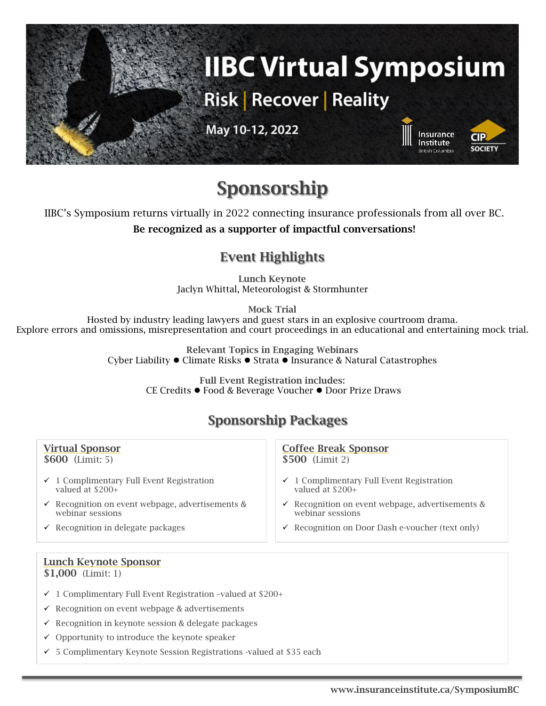

# **Sponsorship**

IIBC's Symposium returns virtually in 2022 connecting insurance professionals from all over BC.

**Be recognized as a supporter of impactful conversations!**

## **Event Highlights**

**Lunch Keynote** Jaclyn Whittal, Meteorologist & Stormhunter

**Mock Trial**

Hosted by industry leading lawyers and guest stars in an explosive courtroom drama. Explore errors and omissions, misrepresentation and court proceedings in an educational and entertaining mock trial.

> **Relevant Topics in Engaging Webinars** Cyber Liability ⚫ Climate Risks ⚫ Strata ⚫ Insurance & Natural Catastrophes

> > **Full Event Registration includes:** CE Credits ⚫ Food & Beverage Voucher ⚫ Door Prize Draws

# **Sponsorship Packages**

| <b>Virtual Sponsor</b>                                      | <b>Coffee Break Sponsor</b>                                 |
|-------------------------------------------------------------|-------------------------------------------------------------|
| $$600$ (Limit: 5)                                           | $$500$ (Limit 2)                                            |
| $\checkmark$ 1 Complimentary Full Event Registration        | $\checkmark$ 1 Complimentary Full Event Registration        |
| valued at $$200+$                                           | valued at $$200+$                                           |
| $\checkmark$ Recognition on event webpage, advertisements & | $\checkmark$ Recognition on event webpage, advertisements & |
| webinar sessions                                            | webinar sessions                                            |
| $\checkmark$ Recognition in delegate packages               | $\checkmark$ Recognition on Door Dash e-voucher (text only) |

# **Lunch Keynote Sponsor**

**\$1,000** (Limit: 1)

- ✓ 1 Complimentary Full Event Registration –valued at \$200+
- $\checkmark$  Recognition on event webpage & advertisements
- ✓ Recognition in keynote session & delegate packages
- ✓ Opportunity to introduce the keynote speaker
- ✓ 5 Complimentary Keynote Session Registrations -valued at \$35 each